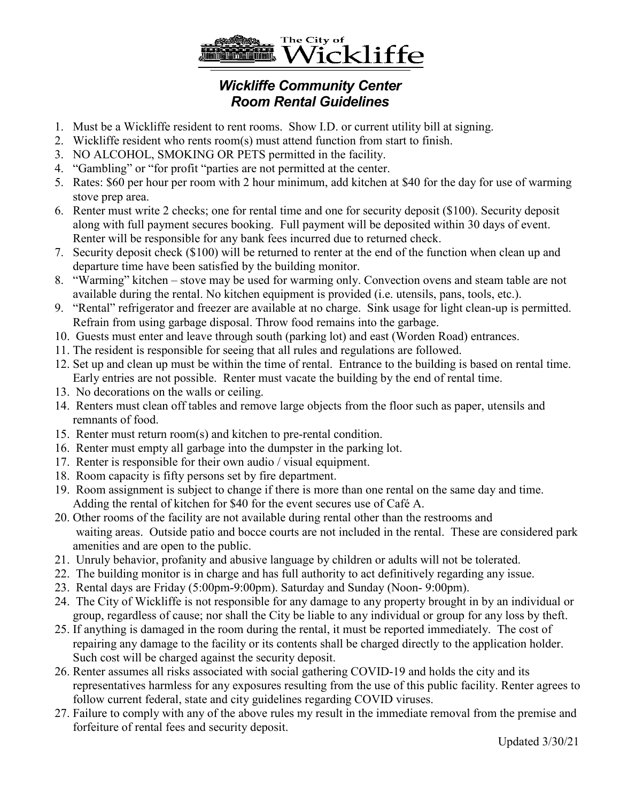

## *Room Rental Guidelines*

- 1. Must be a Wickliffe resident to rent rooms. Show I.D. or current utility bill at signing.
- 2. Wickliffe resident who rents room(s) must attend function from start to finish.
- 3. NO ALCOHOL, SMOKING OR PETS permitted in the facility.
- 4. "Gambling" or "for profit "parties are not permitted at the center.
- 5. Rates: \$60 per hour per room with 2 hour minimum, add kitchen at \$40 for the day for use of warming stove prep area.
- 6. Renter must write 2 checks; one for rental time and one for security deposit (\$100). Security deposit along with full payment secures booking. Full payment will be deposited within 30 days of event. Renter will be responsible for any bank fees incurred due to returned check.
- 7. Security deposit check (\$100) will be returned to renter at the end of the function when clean up and departure time have been satisfied by the building monitor.
- 8. "Warming" kitchen stove may be used for warming only. Convection ovens and steam table are not available during the rental. No kitchen equipment is provided (i.e. utensils, pans, tools, etc.).
- 9. "Rental" refrigerator and freezer are available at no charge. Sink usage for light clean-up is permitted. Refrain from using garbage disposal. Throw food remains into the garbage.
- 10. Guests must enter and leave through south (parking lot) and east (Worden Road) entrances.
- 11. The resident is responsible for seeing that all rules and regulations are followed.
- 12. Set up and clean up must be within the time of rental. Entrance to the building is based on rental time. Early entries are not possible. Renter must vacate the building by the end of rental time.
- 13. No decorations on the walls or ceiling.
- 14. Renters must clean off tables and remove large objects from the floor such as paper, utensils and remnants of food.
- 15. Renter must return room(s) and kitchen to pre-rental condition.
- 16. Renter must empty all garbage into the dumpster in the parking lot.
- 17. Renter is responsible for their own audio / visual equipment.
- 18. Room capacity is fifty persons set by fire department.
- 19. Room assignment is subject to change if there is more than one rental on the same day and time. Adding the rental of kitchen for \$40 for the event secures use of Café A.
- 20. Other rooms of the facility are not available during rental other than the restrooms and waiting areas. Outside patio and bocce courts are not included in the rental. These are considered park amenities and are open to the public.
- 21. Unruly behavior, profanity and abusive language by children or adults will not be tolerated.
- 22. The building monitor is in charge and has full authority to act definitively regarding any issue.
- 23. Rental days are Friday (5:00pm-9:00pm). Saturday and Sunday (Noon- 9:00pm).
- 24. The City of Wickliffe is not responsible for any damage to any property brought in by an individual or group, regardless of cause; nor shall the City be liable to any individual or group for any loss by theft.
- 25. If anything is damaged in the room during the rental, it must be reported immediately. The cost of repairing any damage to the facility or its contents shall be charged directly to the application holder. Such cost will be charged against the security deposit.
- 26. Renter assumes all risks associated with social gathering COVID-19 and holds the city and its representatives harmless for any exposures resulting from the use of this public facility. Renter agrees to follow current federal, state and city guidelines regarding COVID viruses.
- 27. Failure to comply with any of the above rules my result in the immediate removal from the premise and forfeiture of rental fees and security deposit.